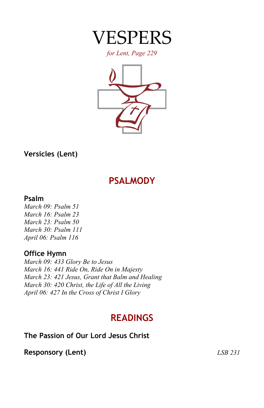

*for Lent, Page 229*



## **Versicles (Lent)**

# **PSALMODY**

#### **Psalm**

*March 09: Psalm 51 March 16: Psalm 23 March 23: Psalm 50 March 30: Psalm 111 April 06: Psalm 116*

## **Office Hymn**

*March 09: 433 Glory Be to Jesus March 16: 441 Ride On, Ride On in Majesty March 23: 421 Jesus, Grant that Balm and Healing March 30: 420 Christ, the Life of All the Living April 06: 427 In the Cross of Christ I Glory*

# **READINGS**

## **The Passion of Our Lord Jesus Christ**

**Responsory (Lent)** *LSB 231*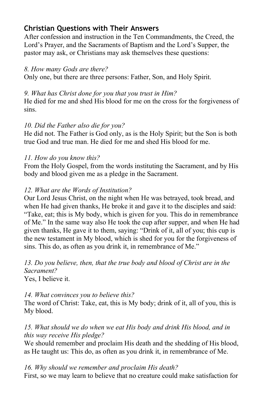## **Christian Questions with Their Answers**

After confession and instruction in the Ten Commandments, the Creed, the Lord's Prayer, and the Sacraments of Baptism and the Lord's Supper, the pastor may ask, or Christians may ask themselves these questions:

#### *8. How many Gods are there?*

Only one, but there are three persons: Father, Son, and Holy Spirit.

#### *9. What has Christ done for you that you trust in Him?*

He died for me and shed His blood for me on the cross for the forgiveness of sins.

#### *10. Did the Father also die for you?*

He did not. The Father is God only, as is the Holy Spirit; but the Son is both true God and true man. He died for me and shed His blood for me.

#### *11. How do you know this?*

From the Holy Gospel, from the words instituting the Sacrament, and by His body and blood given me as a pledge in the Sacrament.

#### *12. What are the Words of Institution?*

Our Lord Jesus Christ, on the night when He was betrayed, took bread, and when He had given thanks, He broke it and gave it to the disciples and said: "Take, eat; this is My body, which is given for you. This do in remembrance of Me." In the same way also He took the cup after supper, and when He had given thanks, He gave it to them, saying: "Drink of it, all of you; this cup is the new testament in My blood, which is shed for you for the forgiveness of sins. This do, as often as you drink it, in remembrance of Me."

*13. Do you believe, then, that the true body and blood of Christ are in the Sacrament?*

Yes, I believe it.

#### *14. What convinces you to believe this?*

The word of Christ: Take, eat, this is My body; drink of it, all of you, this is My blood.

#### *15. What should we do when we eat His body and drink His blood, and in this way receive His pledge?*

We should remember and proclaim His death and the shedding of His blood, as He taught us: This do, as often as you drink it, in remembrance of Me.

*16. Why should we remember and proclaim His death?* First, so we may learn to believe that no creature could make satisfaction for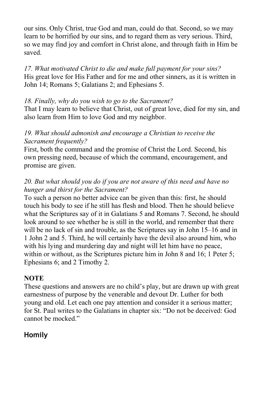our sins. Only Christ, true God and man, could do that. Second, so we may learn to be horrified by our sins, and to regard them as very serious. Third, so we may find joy and comfort in Christ alone, and through faith in Him be saved.

*17. What motivated Christ to die and make full payment for your sins?* His great love for His Father and for me and other sinners, as it is written in John 14; Romans 5; Galatians 2; and Ephesians 5.

#### *18. Finally, why do you wish to go to the Sacrament?*

That I may learn to believe that Christ, out of great love, died for my sin, and also learn from Him to love God and my neighbor.

#### *19. What should admonish and encourage a Christian to receive the Sacrament frequently?*

First, both the command and the promise of Christ the Lord. Second, his own pressing need, because of which the command, encouragement, and promise are given.

#### *20. But what should you do if you are not aware of this need and have no hunger and thirst for the Sacrament?*

To such a person no better advice can be given than this: first, he should touch his body to see if he still has flesh and blood. Then he should believe what the Scriptures say of it in Galatians 5 and Romans 7. Second, he should look around to see whether he is still in the world, and remember that there will be no lack of sin and trouble, as the Scriptures say in John 15–16 and in 1 John 2 and 5. Third, he will certainly have the devil also around him, who with his lying and murdering day and night will let him have no peace, within or without, as the Scriptures picture him in John 8 and 16; 1 Peter 5; Ephesians 6; and 2 Timothy 2.

#### **NOTE**

These questions and answers are no child's play, but are drawn up with great earnestness of purpose by the venerable and devout Dr. Luther for both young and old. Let each one pay attention and consider it a serious matter; for St. Paul writes to the Galatians in chapter six: "Do not be deceived: God cannot be mocked."

## **Homily**